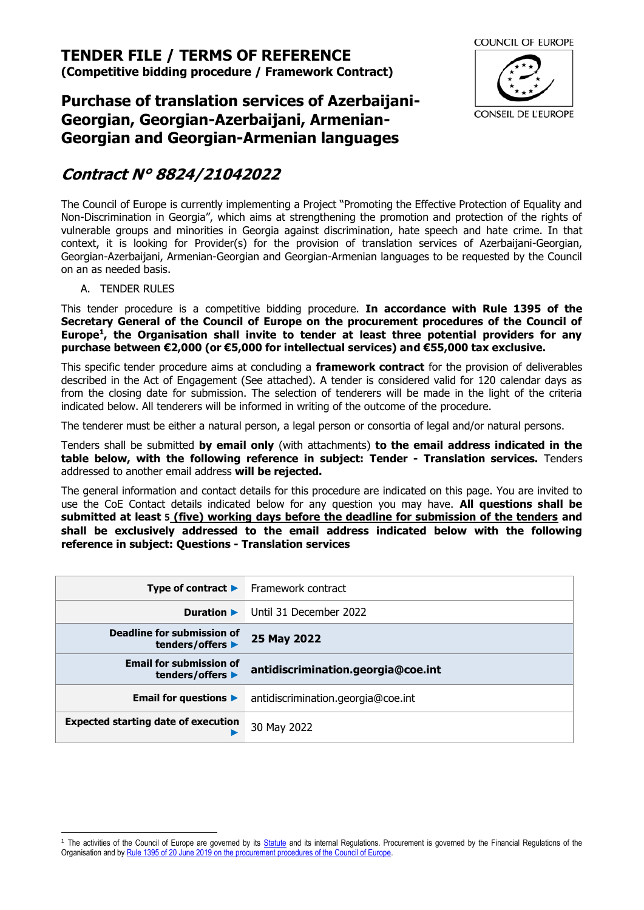**(Competitive bidding procedure / Framework Contract)**



# **Purchase of translation services of Azerbaijani-Georgian, Georgian-Azerbaijani, Armenian-Georgian and Georgian-Armenian languages**

# **Contract N° 8824/21042022**

The Council of Europe is currently implementing a Project "Promoting the Effective Protection of Equality and Non-Discrimination in Georgia", which aims at strengthening the promotion and protection of the rights of vulnerable groups and minorities in Georgia against discrimination, hate speech and hate crime. In that context, it is looking for Provider(s) for the provision of translation services of Azerbaijani-Georgian, Georgian-Azerbaijani, Armenian-Georgian and Georgian-Armenian languages to be requested by the Council on an as needed basis.

A. TENDER RULES

This tender procedure is a competitive bidding procedure. **In accordance with Rule 1395 of the Secretary General of the Council of Europe on the procurement procedures of the Council of Europe<sup>1</sup> , the Organisation shall invite to tender at least three potential providers for any purchase between €2,000 (or €5,000 for intellectual services) and €55,000 tax exclusive.**

This specific tender procedure aims at concluding a **framework contract** for the provision of deliverables described in the Act of Engagement (See attached). A tender is considered valid for 120 calendar days as from the closing date for submission. The selection of tenderers will be made in the light of the criteria indicated below. All tenderers will be informed in writing of the outcome of the procedure.

The tenderer must be either a natural person, a legal person or consortia of legal and/or natural persons.

Tenders shall be submitted **by email only** (with attachments) **to the email address indicated in the table below, with the following reference in subject: Tender - Translation services.** Tenders addressed to another email address **will be rejected.**

The general information and contact details for this procedure are indicated on this page. You are invited to use the CoE Contact details indicated below for any question you may have. **All questions shall be submitted at least 5 (five) working days before the deadline for submission of the tenders and shall be exclusively addressed to the email address indicated below with the following reference in subject: Questions - Translation services**

|                                                    | <b>Type of contract <math>\blacktriangleright</math></b> Framework contract |
|----------------------------------------------------|-----------------------------------------------------------------------------|
| Duration $\blacktriangleright$                     | Until 31 December 2022                                                      |
| Deadline for submission of<br>tenders/offers ▶     | 25 May 2022                                                                 |
| <b>Email for submission of</b><br>tenders/offers ▶ | antidiscrimination.georgia@coe.int                                          |
| Email for questions $\blacktriangleright$          | antidiscrimination.georgia@coe.int                                          |
| <b>Expected starting date of execution</b>         | 30 May 2022                                                                 |

<sup>&</sup>lt;sup>1</sup> The activities of the Council of Europe are governed by its [Statute](https://rm.coe.int/CoERMPublicCommonSearchServices/DisplayDCTMContent?documentId=0900001680306052) and its internal Regulations. Procurement is governed by the Financial Regulations of the Organisation and by Rule 1395 of 20 June 2019 [on the procurement procedures of the Council of Europe.](https://search.coe.int/intranet/Pages/result_details.aspx?ObjectId=090000168094853e)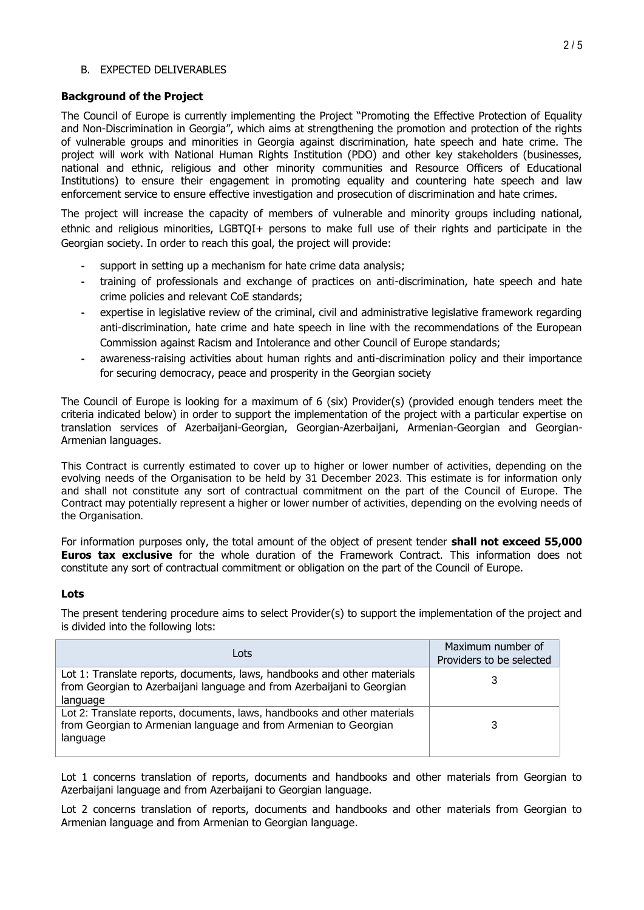#### B. EXPECTED DELIVERABLES

#### **Background of the Project**

The Council of Europe is currently implementing the Project "Promoting the Effective Protection of Equality and Non-Discrimination in Georgia", which aims at strengthening the promotion and protection of the rights of vulnerable groups and minorities in Georgia against discrimination, hate speech and hate crime. The project will work with National Human Rights Institution (PDO) and other key stakeholders (businesses, national and ethnic, religious and other minority communities and Resource Officers of Educational Institutions) to ensure their engagement in promoting equality and countering hate speech and law enforcement service to ensure effective investigation and prosecution of discrimination and hate crimes.

The project will increase the capacity of members of vulnerable and minority groups including national, ethnic and religious minorities, LGBTQI+ persons to make full use of their rights and participate in the Georgian society. In order to reach this goal, the project will provide:

- **-** support in setting up a mechanism for hate crime data analysis;
- **-** training of professionals and exchange of practices on anti-discrimination, hate speech and hate crime policies and relevant CoE standards;
- **-** expertise in legislative review of the criminal, civil and administrative legislative framework regarding anti-discrimination, hate crime and hate speech in line with the recommendations of the European Commission against Racism and Intolerance and other Council of Europe standards;
- **-** awareness-raising activities about human rights and anti-discrimination policy and their importance for securing democracy, peace and prosperity in the Georgian society

The Council of Europe is looking for a maximum of 6 (six) Provider(s) (provided enough tenders meet the criteria indicated below) in order to support the implementation of the project with a particular expertise on translation services of Azerbaijani-Georgian, Georgian-Azerbaijani, Armenian-Georgian and Georgian-Armenian languages.

This Contract is currently estimated to cover up to higher or lower number of activities, depending on the evolving needs of the Organisation to be held by 31 December 2023. This estimate is for information only and shall not constitute any sort of contractual commitment on the part of the Council of Europe. The Contract may potentially represent a higher or lower number of activities, depending on the evolving needs of the Organisation.

For information purposes only, the total amount of the object of present tender **shall not exceed 55,000 Euros tax exclusive** for the whole duration of the Framework Contract. This information does not constitute any sort of contractual commitment or obligation on the part of the Council of Europe.

#### **Lots**

The present tendering procedure aims to select Provider(s) to support the implementation of the project and is divided into the following lots:

| Lots                                                                                                                                                           | Maximum number of<br>Providers to be selected |
|----------------------------------------------------------------------------------------------------------------------------------------------------------------|-----------------------------------------------|
| Lot 1: Translate reports, documents, laws, handbooks and other materials<br>from Georgian to Azerbaijani language and from Azerbaijani to Georgian<br>language |                                               |
| Lot 2: Translate reports, documents, laws, handbooks and other materials<br>from Georgian to Armenian language and from Armenian to Georgian<br>language       | 3                                             |

Lot 1 concerns translation of reports, documents and handbooks and other materials from Georgian to Azerbaijani language and from Azerbaijani to Georgian language.

Lot 2 concerns translation of reports, documents and handbooks and other materials from Georgian to Armenian language and from Armenian to Georgian language.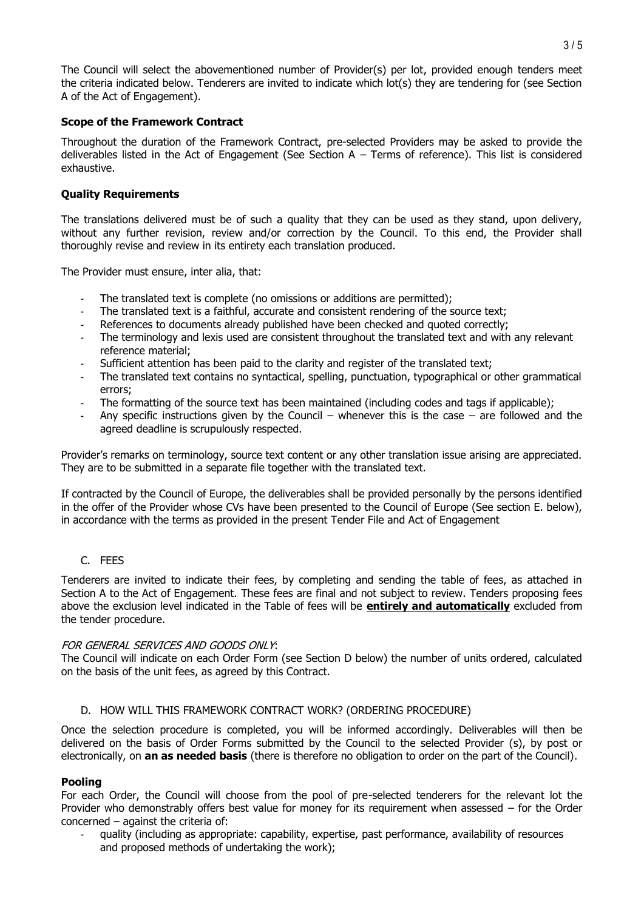The Council will select the abovementioned number of Provider(s) per lot, provided enough tenders meet the criteria indicated below. Tenderers are invited to indicate which lot(s) they are tendering for (see Section A of the Act of Engagement).

#### **Scope of the Framework Contract**

Throughout the duration of the Framework Contract, pre-selected Providers may be asked to provide the deliverables listed in the Act of Engagement (See Section  $A - T$ erms of reference). This list is considered exhaustive.

#### **Quality Requirements**

The translations delivered must be of such a quality that they can be used as they stand, upon delivery, without any further revision, review and/or correction by the Council. To this end, the Provider shall thoroughly revise and review in its entirety each translation produced.

The Provider must ensure, inter alia, that:

- The translated text is complete (no omissions or additions are permitted);
- The translated text is a faithful, accurate and consistent rendering of the source text;
- References to documents already published have been checked and quoted correctly;
- The terminology and lexis used are consistent throughout the translated text and with any relevant reference material;
- Sufficient attention has been paid to the clarity and register of the translated text;
- The translated text contains no syntactical, spelling, punctuation, typographical or other grammatical errors;
- The formatting of the source text has been maintained (including codes and tags if applicable);
- Any specific instructions given by the Council whenever this is the case are followed and the agreed deadline is scrupulously respected.

Provider's remarks on terminology, source text content or any other translation issue arising are appreciated. They are to be submitted in a separate file together with the translated text.

If contracted by the Council of Europe, the deliverables shall be provided personally by the persons identified in the offer of the Provider whose CVs have been presented to the Council of Europe (See section E. below), in accordance with the terms as provided in the present Tender File and Act of Engagement

#### C. FEES

Tenderers are invited to indicate their fees, by completing and sending the table of fees, as attached in Section A to the Act of Engagement. These fees are final and not subject to review. Tenders proposing fees above the exclusion level indicated in the Table of fees will be **entirely and automatically** excluded from the tender procedure.

#### FOR GENERAL SERVICES AND GOODS ONLY:

The Council will indicate on each Order Form (see Section [D](#page-2-0) below) the number of units ordered, calculated on the basis of the unit fees, as agreed by this Contract.

#### D. HOW WILL THIS FRAMEWORK CONTRACT WORK? (ORDERING PROCEDURE)

<span id="page-2-0"></span>Once the selection procedure is completed, you will be informed accordingly. Deliverables will then be delivered on the basis of Order Forms submitted by the Council to the selected Provider (s), by post or electronically, on **an as needed basis** (there is therefore no obligation to order on the part of the Council).

#### **Pooling**

For each Order, the Council will choose from the pool of pre-selected tenderers for the relevant lot the Provider who demonstrably offers best value for money for its requirement when assessed – for the Order concerned – against the criteria of:

- quality (including as appropriate: capability, expertise, past performance, availability of resources and proposed methods of undertaking the work);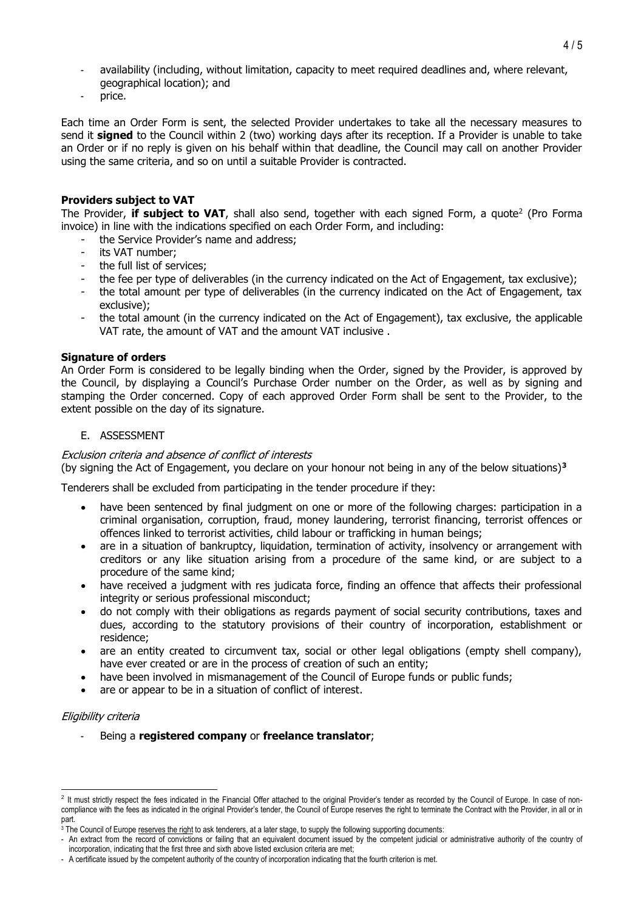- availability (including, without limitation, capacity to meet required deadlines and, where relevant, geographical location); and
- price.

Each time an Order Form is sent, the selected Provider undertakes to take all the necessary measures to send it **signed** to the Council within 2 (two) working days after its reception. If a Provider is unable to take an Order or if no reply is given on his behalf within that deadline, the Council may call on another Provider using the same criteria, and so on until a suitable Provider is contracted.

#### **Providers subject to VAT**

The Provider, **if subject to VAT**, shall also send, together with each signed Form, a quote<sup>2</sup> (Pro Forma invoice) in line with the indications specified on each Order Form, and including:

- the Service Provider's name and address;
- its VAT number;
- the full list of services;
- the fee per type of deliverables (in the currency indicated on the Act of Engagement, tax exclusive);
- the total amount per type of deliverables (in the currency indicated on the Act of Engagement, tax exclusive);
- the total amount (in the currency indicated on the Act of Engagement), tax exclusive, the applicable VAT rate, the amount of VAT and the amount VAT inclusive .

#### **Signature of orders**

An Order Form is considered to be legally binding when the Order, signed by the Provider, is approved by the Council, by displaying a Council's Purchase Order number on the Order, as well as by signing and stamping the Order concerned. Copy of each approved Order Form shall be sent to the Provider, to the extent possible on the day of its signature.

# E. ASSESSMENT

#### Exclusion criteria and absence of conflict of interests

(by signing the Act of Engagement, you declare on your honour not being in any of the below situations)**<sup>3</sup>**

Tenderers shall be excluded from participating in the tender procedure if they:

- have been sentenced by final judgment on one or more of the following charges: participation in a criminal organisation, corruption, fraud, money laundering, terrorist financing, terrorist offences or offences linked to terrorist activities, child labour or trafficking in human beings;
- are in a situation of bankruptcy, liquidation, termination of activity, insolvency or arrangement with creditors or any like situation arising from a procedure of the same kind, or are subject to a procedure of the same kind;
- have received a judgment with res judicata force, finding an offence that affects their professional integrity or serious professional misconduct;
- do not comply with their obligations as regards payment of social security contributions, taxes and dues, according to the statutory provisions of their country of incorporation, establishment or residence;
- are an entity created to circumvent tax, social or other legal obligations (empty shell company), have ever created or are in the process of creation of such an entity;
- have been involved in mismanagement of the Council of Europe funds or public funds;
- are or appear to be in a situation of conflict of interest.

#### Eligibility criteria

- Being a **registered company** or **freelance translator**;

<sup>&</sup>lt;sup>2</sup> It must strictly respect the fees indicated in the Financial Offer attached to the original Provider's tender as recorded by the Council of Europe. In case of noncompliance with the fees as indicated in the original Provider's tender, the Council of Europe reserves the right to terminate the Contract with the Provider, in all or in part.

<sup>&</sup>lt;sup>3</sup> The Council of Europe reserves the right to ask tenderers, at a later stage, to supply the following supporting documents:

<sup>-</sup> An extract from the record of convictions or failing that an equivalent document issued by the competent judicial or administrative authority of the country of incorporation, indicating that the first three and sixth above listed exclusion criteria are met;

<sup>-</sup> A certificate issued by the competent authority of the country of incorporation indicating that the fourth criterion is met.